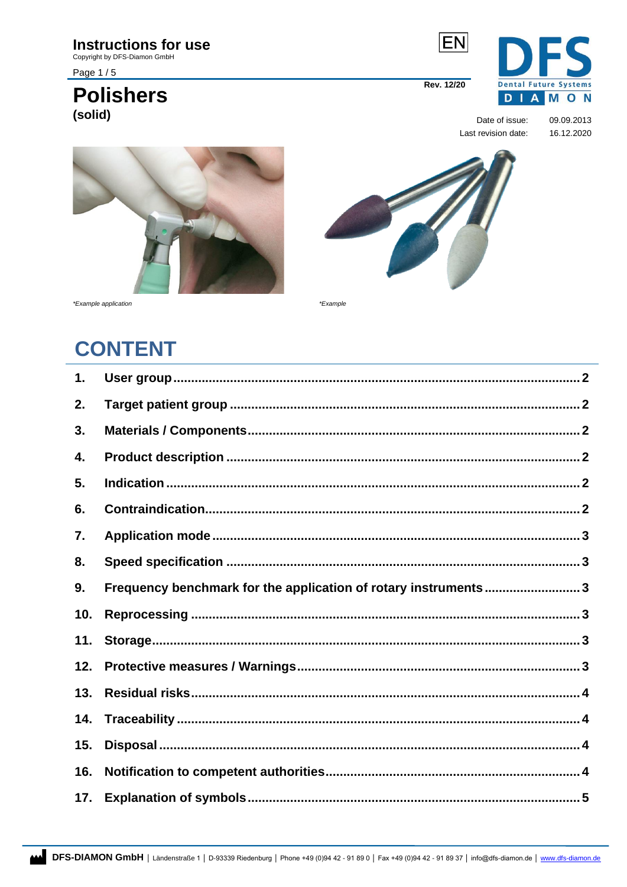### **Instructions for use**

Copyright by DFS-Diamon GmbH

Page 1/5

### **Polishers** (solid)



Date of issue: 09.09.2013 Last revision date: 16.12.2020





\*Example application

\*Example

# **CONTENT**

| 1.  |                                                                |  |
|-----|----------------------------------------------------------------|--|
| 2.  |                                                                |  |
| 3.  |                                                                |  |
| 4.  |                                                                |  |
| 5.  |                                                                |  |
| 6.  |                                                                |  |
| 7.  |                                                                |  |
| 8.  |                                                                |  |
| 9.  | Frequency benchmark for the application of rotary instruments3 |  |
| 10. |                                                                |  |
| 11. |                                                                |  |
| 12. |                                                                |  |
| 13. |                                                                |  |
| 14. |                                                                |  |
| 15. |                                                                |  |
| 16. |                                                                |  |
| 17. |                                                                |  |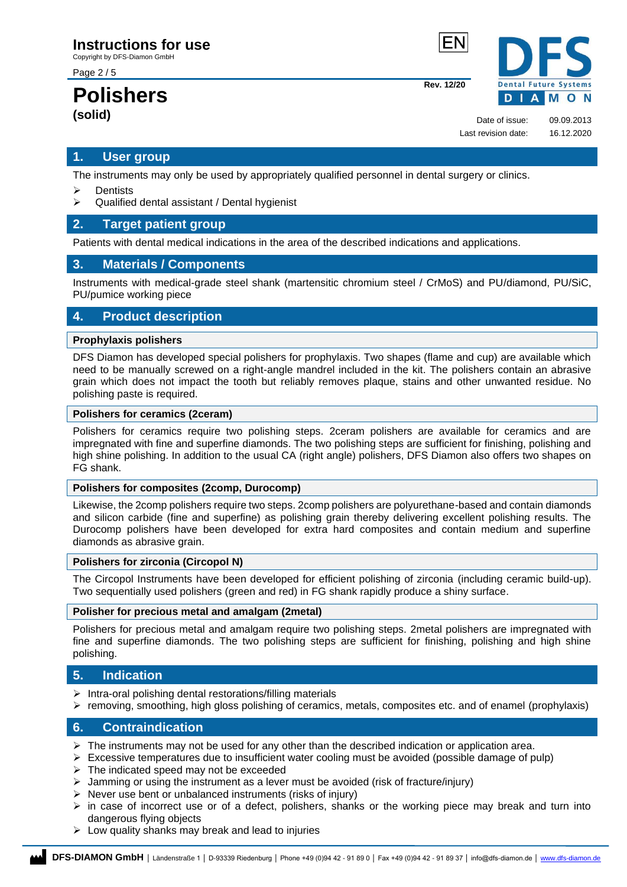Copyright by DFS-Diamon GmbH

Page 2 / 5

### **Polishers (solid)**



**Rev. 12/20**

Date of issue: 09.09.2013 Last revision date: 16.12.2020

### <span id="page-1-0"></span>**1. User group**

The instruments may only be used by appropriately qualified personnel in dental surgery or clinics.

- ➢ Dentists
- ➢ Qualified dental assistant / Dental hygienist

### <span id="page-1-1"></span>**2. Target patient group**

Patients with dental medical indications in the area of the described indications and applications.

### <span id="page-1-2"></span>**3. Materials / Components**

Instruments with medical-grade steel shank (martensitic chromium steel / CrMoS) and PU/diamond, PU/SiC, PU/pumice working piece

### <span id="page-1-3"></span>**4. Product description**

#### **Prophylaxis polishers**

DFS Diamon has developed special polishers for prophylaxis. Two shapes (flame and cup) are available which need to be manually screwed on a right-angle mandrel included in the kit. The polishers contain an abrasive grain which does not impact the tooth but reliably removes plaque, stains and other unwanted residue. No polishing paste is required.

#### **Polishers for ceramics (2ceram)**

Polishers for ceramics require two polishing steps. 2ceram polishers are available for ceramics and are impregnated with fine and superfine diamonds. The two polishing steps are sufficient for finishing, polishing and high shine polishing. In addition to the usual CA (right angle) polishers, DFS Diamon also offers two shapes on FG shank.

### **Polishers for composites (2comp, Durocomp)**

Likewise, the 2comp polishers require two steps. 2comp polishers are polyurethane-based and contain diamonds and silicon carbide (fine and superfine) as polishing grain thereby delivering excellent polishing results. The Durocomp polishers have been developed for extra hard composites and contain medium and superfine diamonds as abrasive grain.

#### **Polishers for zirconia (Circopol N)**

The Circopol Instruments have been developed for efficient polishing of zirconia (including ceramic build-up). Two sequentially used polishers (green and red) in FG shank rapidly produce a shiny surface.

#### **Polisher for precious metal and amalgam (2metal)**

Polishers for precious metal and amalgam require two polishing steps. 2metal polishers are impregnated with fine and superfine diamonds. The two polishing steps are sufficient for finishing, polishing and high shine polishing.

### <span id="page-1-4"></span>**5. Indication**

- $\triangleright$  Intra-oral polishing dental restorations/filling materials
- ➢ removing, smoothing, high gloss polishing of ceramics, metals, composites etc. and of enamel (prophylaxis)

### <span id="page-1-5"></span>**6. Contraindication**

- $\triangleright$  The instruments may not be used for any other than the described indication or application area.
- $\triangleright$  Excessive temperatures due to insufficient water cooling must be avoided (possible damage of pulp)
- $\triangleright$  The indicated speed may not be exceeded
- $\triangleright$  Jamming or using the instrument as a lever must be avoided (risk of fracture/injury)
- $\triangleright$  Never use bent or unbalanced instruments (risks of injury)
- $\triangleright$  in case of incorrect use or of a defect, polishers, shanks or the working piece may break and turn into dangerous flying objects
- $\triangleright$  Low quality shanks may break and lead to injuries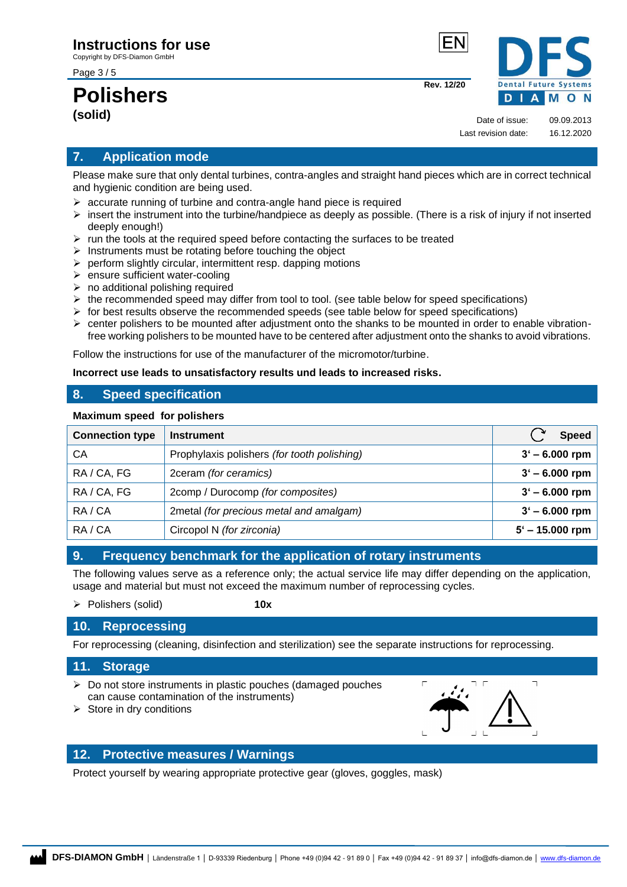Page 3 / 5

## **Polishers (solid)**



Date of issue: 09.09.2013 Last revision date: 16.12.2020

**Rev. 12/20**

### <span id="page-2-0"></span>**7. Application mode**

Please make sure that only dental turbines, contra-angles and straight hand pieces which are in correct technical and hygienic condition are being used.

- $\triangleright$  accurate running of turbine and contra-angle hand piece is required
- $\triangleright$  insert the instrument into the turbine/handpiece as deeply as possible. (There is a risk of injury if not inserted deeply enough!)
- $\triangleright$  run the tools at the required speed before contacting the surfaces to be treated
- $\triangleright$  Instruments must be rotating before touching the object
- $\triangleright$  perform slightly circular, intermittent resp. dapping motions
- ➢ ensure sufficient water-cooling
- $\triangleright$  no additional polishing required
- ➢ the recommended speed may differ from tool to tool. (see table below for speed specifications)
- $\triangleright$  for best results observe the recommended speeds (see table below for speed specifications)
- $\triangleright$  center polishers to be mounted after adjustment onto the shanks to be mounted in order to enable vibrationfree working polishers to be mounted have to be centered after adjustment onto the shanks to avoid vibrations.

Follow the instructions for use of the manufacturer of the micromotor/turbine.

**Incorrect use leads to unsatisfactory results und leads to increased risks.**

### <span id="page-2-1"></span>**8. Speed specification**

#### **Maximum speed for polishers**

| <b>Connection type</b> | <b>Instrument</b>                           | <b>Speed</b>      |
|------------------------|---------------------------------------------|-------------------|
| СA                     | Prophylaxis polishers (for tooth polishing) | $3' - 6.000$ rpm  |
| RA/CA, FG              | 2ceram (for ceramics)                       | $3' - 6.000$ rpm  |
| RA / CA, FG            | 2comp / Durocomp (for composites)           | $3' - 6.000$ rpm  |
| RA/CA                  | 2metal (for precious metal and amalgam)     | $3' - 6.000$ rpm  |
| RA/CA                  | Circopol N (for zirconia)                   | $5' - 15.000$ rpm |

### <span id="page-2-2"></span>**9. Frequency benchmark for the application of rotary instruments**

The following values serve as a reference only; the actual service life may differ depending on the application, usage and material but must not exceed the maximum number of reprocessing cycles.

➢ Polishers (solid) **10x**

### <span id="page-2-3"></span>**10. Reprocessing**

For reprocessing (cleaning, disinfection and sterilization) see the separate instructions for reprocessing.

### <span id="page-2-4"></span>**11. Storage**

- ➢ Do not store instruments in plastic pouches (damaged pouches can cause contamination of the instruments)
- 

 $\overline{\phantom{0}}$ 

Store in dry conditions

### <span id="page-2-5"></span>**12. Protective measures / Warnings**

Protect yourself by wearing appropriate protective gear (gloves, goggles, mask)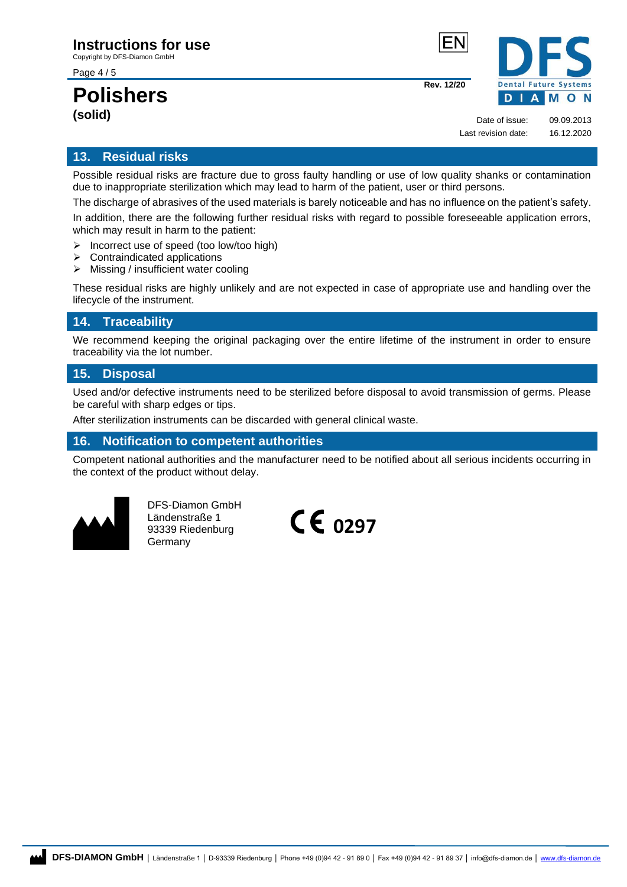Copyright by DFS-Diamon GmbH

Page 4 / 5

### **Polishers (solid)**



Date of issue: 09.09.2013 Last revision date: 16.12.2020

**Rev. 12/20**

### <span id="page-3-0"></span>**13. Residual risks**

Possible residual risks are fracture due to gross faulty handling or use of low quality shanks or contamination due to inappropriate sterilization which may lead to harm of the patient, user or third persons.

The discharge of abrasives of the used materials is barely noticeable and has no influence on the patient's safety. In addition, there are the following further residual risks with regard to possible foreseeable application errors, which may result in harm to the patient:

- ➢ Incorrect use of speed (too low/too high)
- ➢ Contraindicated applications
- ➢ Missing / insufficient water cooling

These residual risks are highly unlikely and are not expected in case of appropriate use and handling over the lifecycle of the instrument.

### <span id="page-3-1"></span>**14. Traceability**

We recommend keeping the original packaging over the entire lifetime of the instrument in order to ensure traceability via the lot number.

### <span id="page-3-2"></span>**15. Disposal**

Used and/or defective instruments need to be sterilized before disposal to avoid transmission of germs. Please be careful with sharp edges or tips.

After sterilization instruments can be discarded with general clinical waste.

### <span id="page-3-3"></span>**16. Notification to competent authorities**

Competent national authorities and the manufacturer need to be notified about all serious incidents occurring in the context of the product without delay.



DFS-Diamon GmbH Ländenstraße 1 93339 Riedenburg Germany